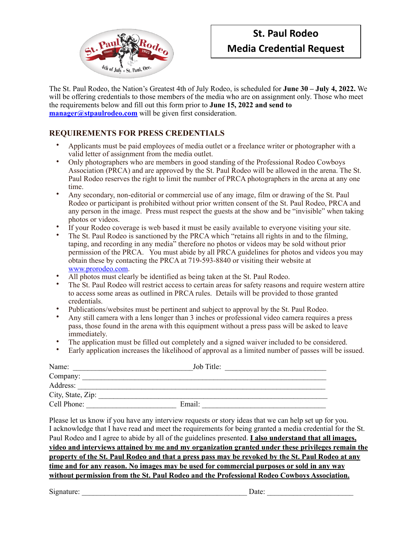

## **St. Paul Rodeo Media Credential Request**

The St. Paul Rodeo, the Nation's Greatest 4th of July Rodeo, is scheduled for **June 30 – July 4, 2022.** We will be offering credentials to those members of the media who are on assignment only. Those who meet the requirements below and fill out this form prior to **June 15, 2022 and send to [manager@stpaulrodeo.com](mailto:manager@stpaulrodeo.com)** will be given first consideration.

## **REQUIREMENTS FOR PRESS CREDENTIALS**

- Applicants must be paid employees of media outlet or a freelance writer or photographer with a valid letter of assignment from the media outlet.
- Only photographers who are members in good standing of the Professional Rodeo Cowboys Association (PRCA) and are approved by the St. Paul Rodeo will be allowed in the arena. The St. Paul Rodeo reserves the right to limit the number of PRCA photographers in the arena at any one time.
- Any secondary, non-editorial or commercial use of any image, film or drawing of the St. Paul Rodeo or participant is prohibited without prior written consent of the St. Paul Rodeo, PRCA and any person in the image. Press must respect the guests at the show and be "invisible" when taking photos or videos.
- If your Rodeo coverage is web based it must be easily available to everyone visiting your site.
- The St. Paul Rodeo is sanctioned by the PRCA which "retains all rights in and to the filming, taping, and recording in any media" therefore no photos or videos may be sold without prior permission of the PRCA. You must abide by all PRCA guidelines for photos and videos you may obtain these by contacting the PRCA at 719-593-8840 or visiting their website at [www.prorodeo.com](http://www.prorodeo.com).
- All photos must clearly be identified as being taken at the St. Paul Rodeo.
- The St. Paul Rodeo will restrict access to certain areas for safety reasons and require western attire to access some areas as outlined in PRCA rules. Details will be provided to those granted credentials.
- Publications/websites must be pertinent and subject to approval by the St. Paul Rodeo.
- Any still camera with a lens longer than 3 inches or professional video camera requires a press pass, those found in the arena with this equipment without a press pass will be asked to leave immediately.
- The application must be filled out completely and a signed waiver included to be considered.
- Early application increases the likelihood of approval as a limited number of passes will be issued.

| Name:             | Job Title: |
|-------------------|------------|
| Company:          |            |
| Address:          |            |
| City, State, Zip: |            |
| Cell Phone:       | Email:     |

Please let us know if you have any interview requests or story ideas that we can help set up for you. I acknowledge that I have read and meet the requirements for being granted a media credential for the St. Paul Rodeo and I agree to abide by all of the guidelines presented. **I also understand that all images, video and interviews attained by me and my organization granted under these privileges remain the property of the St. Paul Rodeo and that a press pass may be revoked by the St. Paul Rodeo at any time and for any reason. No images may be used for commercial purposes or sold in any way without permission from the St. Paul Rodeo and the Professional Rodeo Cowboys Association.** 

Signature: \_\_\_\_\_\_\_\_\_\_\_\_\_\_\_\_\_\_\_\_\_\_\_\_\_\_\_\_\_\_\_\_\_\_\_\_\_\_\_\_\_\_\_\_ Date: \_\_\_\_\_\_\_\_\_\_\_\_\_\_\_\_\_\_\_\_\_\_\_